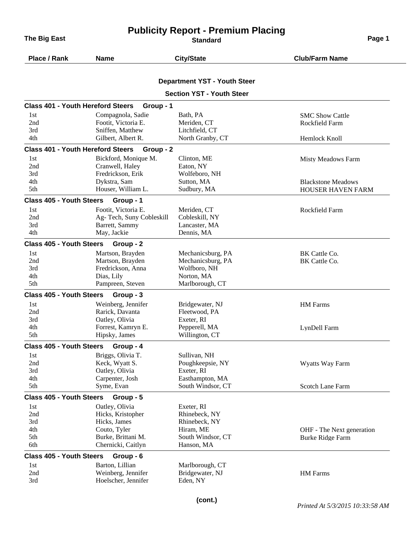**The Big East Page 1 CONSISTENT CONSISTENT Standard Page 1 Page 1** 

## **Publicity Report - Premium Placing**

| Place / Rank                             | <b>Name</b>               | <b>City/State</b>                   | <b>Club/Farm Name</b>     |
|------------------------------------------|---------------------------|-------------------------------------|---------------------------|
|                                          |                           |                                     |                           |
|                                          |                           | <b>Department YST - Youth Steer</b> |                           |
|                                          |                           | <b>Section YST - Youth Steer</b>    |                           |
| <b>Class 401 - Youth Hereford Steers</b> | Group - 1                 |                                     |                           |
| 1st                                      | Compagnola, Sadie         | Bath, PA                            | <b>SMC Show Cattle</b>    |
| 2nd                                      | Footit, Victoria E.       | Meriden, CT                         | Rockfield Farm            |
| 3rd                                      | Sniffen, Matthew          | Litchfield, CT                      |                           |
| 4th                                      | Gilbert, Albert R.        | North Granby, CT                    | Hemlock Knoll             |
| <b>Class 401 - Youth Hereford Steers</b> | Group - 2                 |                                     |                           |
| 1st                                      | Bickford, Monique M.      | Clinton, ME                         | Misty Meadows Farm        |
| 2nd                                      | Cranwell, Haley           | Eaton, NY                           |                           |
| 3rd                                      | Fredrickson, Erik         | Wolfeboro, NH                       |                           |
| 4th                                      | Dykstra, Sam              | Sutton, MA                          | <b>Blackstone Meadows</b> |
| 5th                                      | Houser, William L.        | Sudbury, MA                         | <b>HOUSER HAVEN FARM</b>  |
| <b>Class 405 - Youth Steers</b>          | Group - 1                 |                                     |                           |
| 1st                                      | Footit, Victoria E.       | Meriden, CT                         | Rockfield Farm            |
| 2nd                                      | Ag- Tech, Suny Cobleskill | Cobleskill, NY                      |                           |
| 3rd                                      | Barrett, Sammy            | Lancaster, MA                       |                           |
| 4th                                      | May, Jackie               | Dennis, MA                          |                           |
| <b>Class 405 - Youth Steers</b>          | Group - 2                 |                                     |                           |
| 1st                                      | Martson, Brayden          | Mechanicsburg, PA                   | BK Cattle Co.             |
| 2nd                                      | Martson, Brayden          | Mechanicsburg, PA                   | BK Cattle Co.             |
| 3rd                                      | Fredrickson, Anna         | Wolfboro, NH                        |                           |
| 4th                                      | Dias, Lily                | Norton, MA                          |                           |
| 5th                                      | Pampreen, Steven          | Marlborough, CT                     |                           |
| <b>Class 405 - Youth Steers</b>          | Group - 3                 |                                     |                           |
| 1st                                      | Weinberg, Jennifer        | Bridgewater, NJ                     | <b>HM</b> Farms           |
| 2nd                                      | Rarick, Davanta           | Fleetwood, PA                       |                           |
| 3rd                                      | Oatley, Olivia            | Exeter, RI                          |                           |
| 4th                                      | Forrest, Kamryn E.        | Pepperell, MA                       | LynDell Farm              |
| 5th                                      | Hipsky, James             | Willington, CT                      |                           |
| <b>Class 405 - Youth Steers</b>          | Group - 4                 |                                     |                           |
| 1st                                      | Briggs, Olivia T.         | Sullivan, NH                        |                           |
| 2nd                                      | Keck, Wyatt S.            | Poughkeepsie, NY                    | Wyatts Way Farm           |
| 3rd                                      | Oatley, Olivia            | Exeter, RI                          |                           |
| 4th                                      | Carpenter, Josh           | Easthampton, MA                     |                           |
| 5th                                      | Syme, Evan                | South Windsor, CT                   | <b>Scotch Lane Farm</b>   |
| <b>Class 405 - Youth Steers</b>          | Group - 5                 |                                     |                           |
| 1st                                      | Oatley, Olivia            | Exeter, RI                          |                           |
| 2nd                                      | Hicks, Kristopher         | Rhinebeck, NY                       |                           |
| 3rd                                      | Hicks, James              | Rhinebeck, NY                       |                           |
| 4th                                      | Couto, Tyler              | Hiram, ME                           | OHF - The Next generation |
| 5th                                      | Burke, Brittani M.        | South Windsor, CT                   | Burke Ridge Farm          |
| 6th                                      | Chernicki, Caitlyn        | Hanson, MA                          |                           |
| <b>Class 405 - Youth Steers</b>          | Group - 6                 |                                     |                           |
| 1st                                      | Barton, Lillian           | Marlborough, CT                     |                           |
| 2nd                                      | Weinberg, Jennifer        | Bridgewater, NJ                     | HM Farms                  |
| 3rd                                      | Hoelscher, Jennifer       | Eden, NY                            |                           |